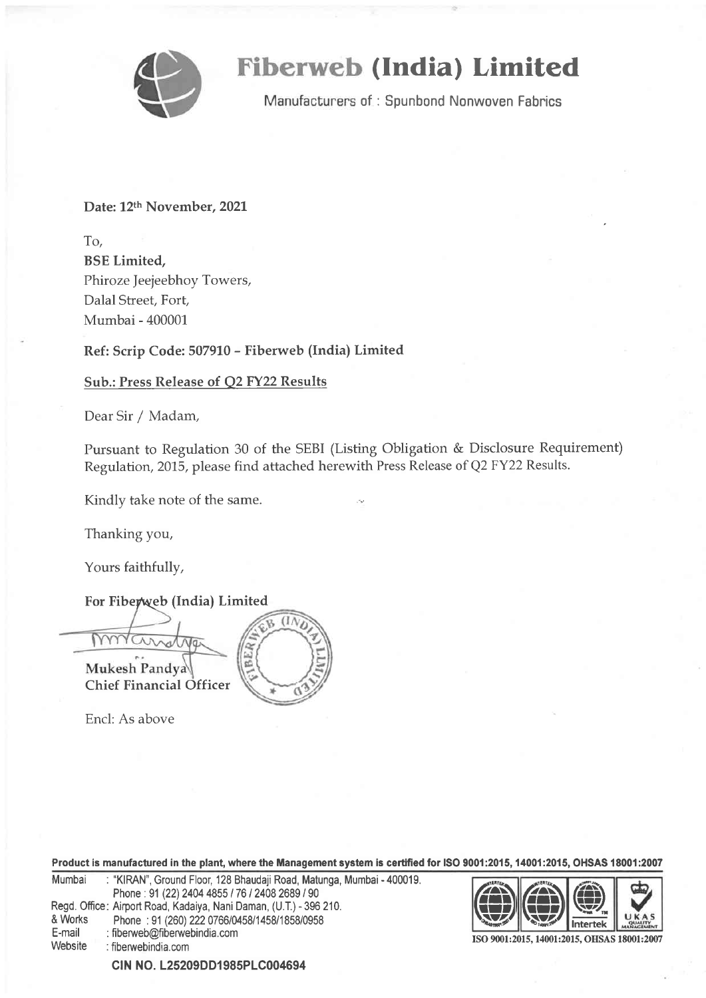

# (India) Limited

Manufacturers of: Spunbond Nonwoven Fabrics

Date: 12th November, 2021

To, BSE Limited, Phiroze Jeejeebhoy Towers, Dalal Street, Fort, Mumbai - 400001

Ref: Scrip Code: 507910 - Fiberweb (India) Limited

# Sub.: Press Release of Q2 FY22 Results

Dear Sir / Madam,

Pursuant to Regulation 30 of the SEBI (Listing Obligation & Disclosure Requirement) Regulation, 2015, please find attached herewith Press Release of Q2 FY22 Results.

Kindly take note of the same.

Thanking you,

Yours faithfully,

For Fiberweb (India) Limited



Encl: As above

Product is manufactured in the plant, where the Management system is certified for ISO 9001:2015, 14001:2015, OHSAS 18001:2007

| Mumbai  | : "KIRAN", Ground Floor, 128 Bhaudaji Road, Matunga, Mumbai - 400019. |
|---------|-----------------------------------------------------------------------|
|         | Phone: 91 (22) 2404 4855 / 76 / 2408 2689 / 90                        |
|         | Regd. Office: Airport Road, Kadaiya, Nani Daman, (U.T.) - 396 210.    |
| & Works | Phone: 91 (260) 222 0766/0458/1458/1858/0958                          |
| E-mail  | : fiberweb@fiberwebindia.com                                          |
| Website | : fiberwebindia.com                                                   |
|         |                                                                       |



ISO 9001:2015, 14001:2015, OHSAS 18001:2007

CIN NO. L25209DD1985PLC004694